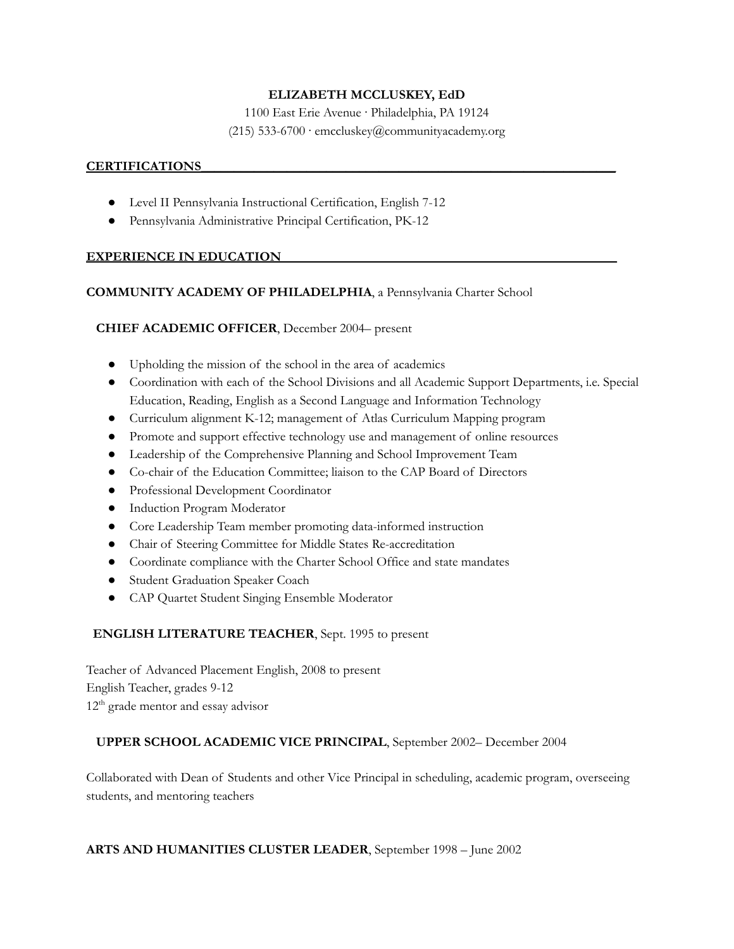# **ELIZABETH MCCLUSKEY, EdD**

1100 East Erie Avenue · Philadelphia, PA 19124

# (215) 533-6700 · emccluskey@communityacademy.org

#### **CERTIFICATIONS\_\_\_\_\_\_\_\_\_\_\_\_\_\_\_\_\_\_\_\_\_\_\_\_\_\_\_\_\_\_\_\_\_\_\_\_\_\_\_\_\_\_\_\_\_\_\_\_\_\_\_\_\_\_\_\_\_\_\_\_\_\_\_**

- Level II Pennsylvania Instructional Certification, English 7-12
- Pennsylvania Administrative Principal Certification, PK-12

### **EXPERIENCE IN EDUCATION**

### **COMMUNITY ACADEMY OF PHILADELPHIA**, a Pennsylvania Charter School

**CHIEF ACADEMIC OFFICER**, December 2004– present

- Upholding the mission of the school in the area of academics
- Coordination with each of the School Divisions and all Academic Support Departments, i.e. Special Education, Reading, English as a Second Language and Information Technology
- Curriculum alignment K-12; management of Atlas Curriculum Mapping program
- Promote and support effective technology use and management of online resources
- Leadership of the Comprehensive Planning and School Improvement Team
- Co-chair of the Education Committee; liaison to the CAP Board of Directors
- Professional Development Coordinator
- Induction Program Moderator
- Core Leadership Team member promoting data-informed instruction
- Chair of Steering Committee for Middle States Re-accreditation
- Coordinate compliance with the Charter School Office and state mandates
- Student Graduation Speaker Coach
- CAP Quartet Student Singing Ensemble Moderator

### **ENGLISH LITERATURE TEACHER**, Sept. 1995 to present

Teacher of Advanced Placement English, 2008 to present English Teacher, grades 9-12 12<sup>th</sup> grade mentor and essay advisor

### **UPPER SCHOOL ACADEMIC VICE PRINCIPAL**, September 2002– December 2004

Collaborated with Dean of Students and other Vice Principal in scheduling, academic program, overseeing students, and mentoring teachers

### **ARTS AND HUMANITIES CLUSTER LEADER**, September 1998 – June 2002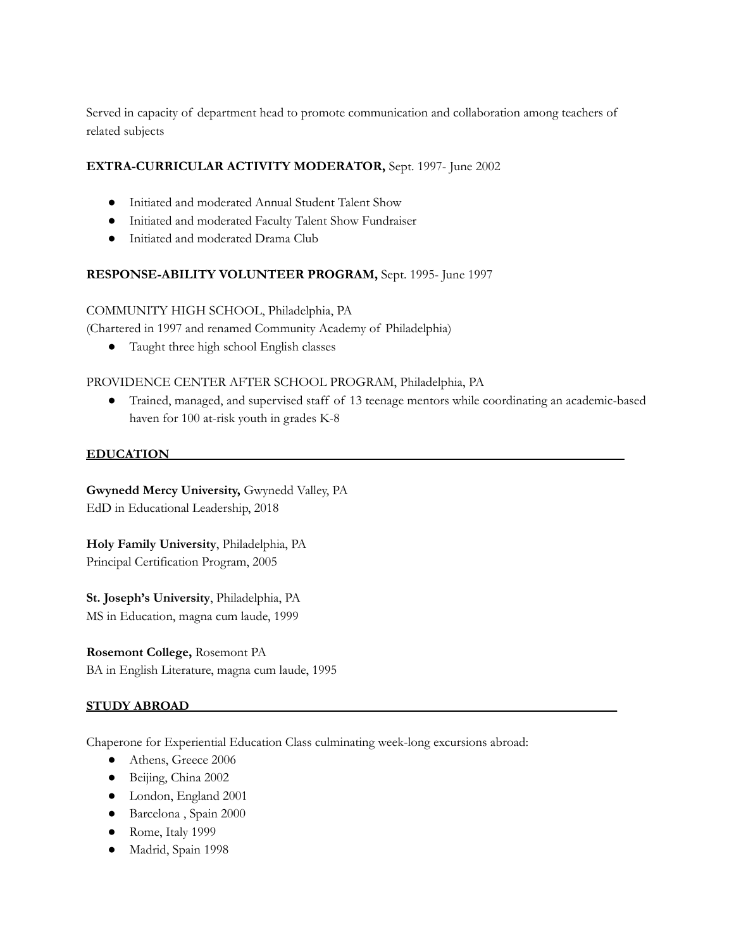Served in capacity of department head to promote communication and collaboration among teachers of related subjects

# **EXTRA-CURRICULAR ACTIVITY MODERATOR,** Sept. 1997- June 2002

- Initiated and moderated Annual Student Talent Show
- Initiated and moderated Faculty Talent Show Fundraiser
- Initiated and moderated Drama Club

### **RESPONSE-ABILITY VOLUNTEER PROGRAM,** Sept. 1995- June 1997

### COMMUNITY HIGH SCHOOL, Philadelphia, PA

(Chartered in 1997 and renamed Community Academy of Philadelphia)

● Taught three high school English classes

### PROVIDENCE CENTER AFTER SCHOOL PROGRAM, Philadelphia, PA

● Trained, managed, and supervised staff of 13 teenage mentors while coordinating an academic-based haven for 100 at-risk youth in grades K-8

### **EDUCATION\_\_\_\_\_\_\_\_\_\_\_\_\_\_\_\_\_\_\_\_\_\_\_\_\_\_\_\_\_\_\_\_\_\_\_\_\_\_\_\_\_\_\_\_\_\_\_\_\_\_\_\_\_\_\_\_\_\_\_\_\_\_\_\_\_\_\_\_\_**

**Gwynedd Mercy University,** Gwynedd Valley, PA EdD in Educational Leadership, 2018

**Holy Family University**, Philadelphia, PA Principal Certification Program, 2005

**St. Joseph's University**, Philadelphia, PA MS in Education, magna cum laude, 1999

**Rosemont College,** Rosemont PA BA in English Literature, magna cum laude, 1995

### **STUDY ABROAD\_\_\_\_\_\_\_\_\_\_\_\_\_\_\_\_\_\_\_\_\_\_\_\_\_\_\_\_\_\_\_\_\_\_\_\_\_\_\_\_\_\_\_\_\_\_\_\_\_\_\_\_\_\_\_\_\_\_\_\_\_\_\_\_\_**

Chaperone for Experiential Education Class culminating week-long excursions abroad:

- Athens, Greece 2006
- Beijing, China 2002
- London, England 2001
- Barcelona , Spain 2000
- Rome, Italy 1999
- Madrid, Spain 1998